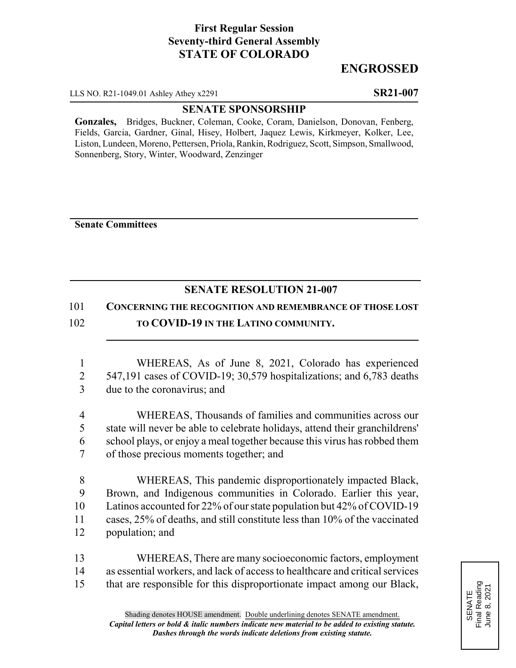# **First Regular Session Seventy-third General Assembly STATE OF COLORADO**

# **ENGROSSED**

LLS NO. R21-1049.01 Ashley Athey x2291 **SR21-007**

### **SENATE SPONSORSHIP**

**Gonzales,** Bridges, Buckner, Coleman, Cooke, Coram, Danielson, Donovan, Fenberg, Fields, Garcia, Gardner, Ginal, Hisey, Holbert, Jaquez Lewis, Kirkmeyer, Kolker, Lee, Liston, Lundeen, Moreno, Pettersen, Priola, Rankin, Rodriguez, Scott, Simpson, Smallwood, Sonnenberg, Story, Winter, Woodward, Zenzinger

**Senate Committees**

## **SENATE RESOLUTION 21-007**

## 101 **CONCERNING THE RECOGNITION AND REMEMBRANCE OF THOSE LOST**

## 102 **TO COVID-19 IN THE LATINO COMMUNITY.**

- 1 WHEREAS, As of June 8, 2021, Colorado has experienced 2 547,191 cases of COVID-19; 30,579 hospitalizations; and 6,783 deaths 3 due to the coronavirus; and
- 4 WHEREAS, Thousands of families and communities across our 5 state will never be able to celebrate holidays, attend their granchildrens' 6 school plays, or enjoy a meal together because this virus has robbed them 7 of those precious moments together; and
- 8 WHEREAS, This pandemic disproportionately impacted Black, 9 Brown, and Indigenous communities in Colorado. Earlier this year, 10 Latinos accounted for 22% of our state population but 42% of COVID-19 11 cases, 25% of deaths, and still constitute less than 10% of the vaccinated 12 population; and
- 13 WHEREAS, There are many socioeconomic factors, employment 14 as essential workers, and lack of access to healthcare and critical services 15 that are responsible for this disproportionate impact among our Black,